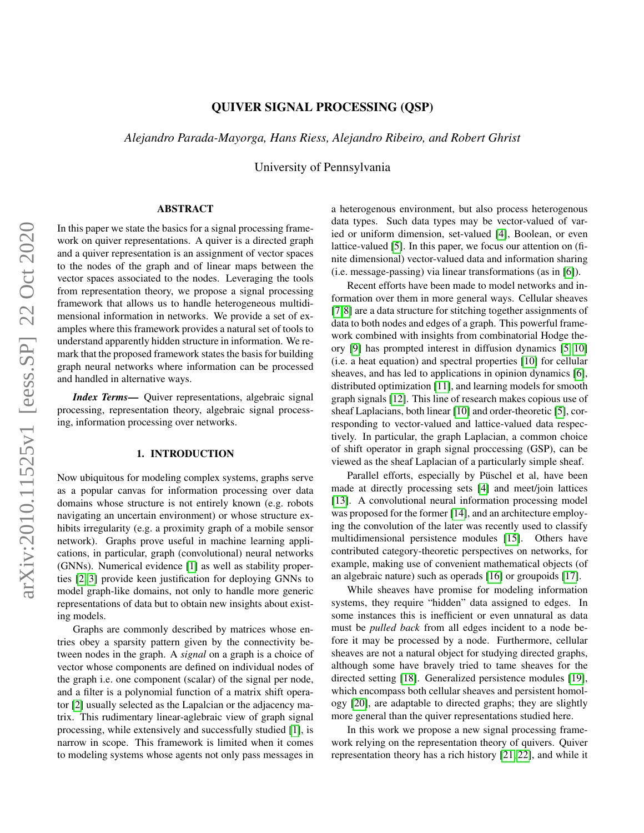# QUIVER SIGNAL PROCESSING (QSP)

*Alejandro Parada-Mayorga, Hans Riess, Alejandro Ribeiro, and Robert Ghrist*

University of Pennsylvania

# ABSTRACT

arXiv:2010.11525v1 [eess.SP] 22 Oct 2020 arXiv:2010.11525v1 [eess.SP] 22 Oct 2020

In this paper we state the basics for a signal processing framework on quiver representations. A quiver is a directed graph and a quiver representation is an assignment of vector spaces to the nodes of the graph and of linear maps between the vector spaces associated to the nodes. Leveraging the tools from representation theory, we propose a signal processing framework that allows us to handle heterogeneous multidimensional information in networks. We provide a set of examples where this framework provides a natural set of tools to understand apparently hidden structure in information. We remark that the proposed framework states the basis for building graph neural networks where information can be processed and handled in alternative ways.

*Index Terms*— Quiver representations, algebraic signal processing, representation theory, algebraic signal processing, information processing over networks.

# 1. INTRODUCTION

Now ubiquitous for modeling complex systems, graphs serve as a popular canvas for information processing over data domains whose structure is not entirely known (e.g. robots navigating an uncertain environment) or whose structure exhibits irregularity (e.g. a proximity graph of a mobile sensor network). Graphs prove useful in machine learning applications, in particular, graph (convolutional) neural networks (GNNs). Numerical evidence [\[1\]](#page-4-0) as well as stability properties [\[2,](#page-4-1) [3\]](#page-4-2) provide keen justification for deploying GNNs to model graph-like domains, not only to handle more generic representations of data but to obtain new insights about existing models.

Graphs are commonly described by matrices whose entries obey a sparsity pattern given by the connectivity between nodes in the graph. A *signal* on a graph is a choice of vector whose components are defined on individual nodes of the graph i.e. one component (scalar) of the signal per node, and a filter is a polynomial function of a matrix shift operator [\[2\]](#page-4-1) usually selected as the Lapalcian or the adjacency matrix. This rudimentary linear-aglebraic view of graph signal processing, while extensively and successfully studied [\[1\]](#page-4-0), is narrow in scope. This framework is limited when it comes to modeling systems whose agents not only pass messages in a heterogenous environment, but also process heterogenous data types. Such data types may be vector-valued of varied or uniform dimension, set-valued [\[4\]](#page-4-3), Boolean, or even lattice-valued [\[5\]](#page-4-4). In this paper, we focus our attention on (finite dimensional) vector-valued data and information sharing (i.e. message-passing) via linear transformations (as in [\[6\]](#page-4-5)).

Recent efforts have been made to model networks and information over them in more general ways. Cellular sheaves [\[7,](#page-4-6)[8\]](#page-4-7) are a data structure for stitching together assignments of data to both nodes and edges of a graph. This powerful framework combined with insights from combinatorial Hodge theory [\[9\]](#page-4-8) has prompted interest in diffusion dynamics [\[5,](#page-4-4) [10\]](#page-4-9) (i.e. a heat equation) and spectral properties [\[10\]](#page-4-9) for cellular sheaves, and has led to applications in opinion dynamics [\[6\]](#page-4-5), distributed optimization [\[11\]](#page-4-10), and learning models for smooth graph signals [\[12\]](#page-4-11). This line of research makes copious use of sheaf Laplacians, both linear [\[10\]](#page-4-9) and order-theoretic [\[5\]](#page-4-4), corresponding to vector-valued and lattice-valued data respectively. In particular, the graph Laplacian, a common choice of shift operator in graph signal proccessing (GSP), can be viewed as the sheaf Laplacian of a particularly simple sheaf.

Parallel efforts, especially by Püschel et al, have been made at directly processing sets [\[4\]](#page-4-3) and meet/join lattices [\[13\]](#page-4-12). A convolutional neural information processing model was proposed for the former [\[14\]](#page-4-13), and an architecture employing the convolution of the later was recently used to classify multidimensional persistence modules [\[15\]](#page-4-14). Others have contributed category-theoretic perspectives on networks, for example, making use of convenient mathematical objects (of an algebraic nature) such as operads [\[16\]](#page-4-15) or groupoids [\[17\]](#page-4-16).

While sheaves have promise for modeling information systems, they require "hidden" data assigned to edges. In some instances this is inefficient or even unnatural as data must be *pulled back* from all edges incident to a node before it may be processed by a node. Furthermore, cellular sheaves are not a natural object for studying directed graphs, although some have bravely tried to tame sheaves for the directed setting [\[18\]](#page-4-17). Generalized persistence modules [\[19\]](#page-4-18), which encompass both cellular sheaves and persistent homology [\[20\]](#page-4-19), are adaptable to directed graphs; they are slightly more general than the quiver representations studied here.

In this work we propose a new signal processing framework relying on the representation theory of quivers. Quiver representation theory has a rich history [\[21,](#page-4-20) [22\]](#page-4-21), and while it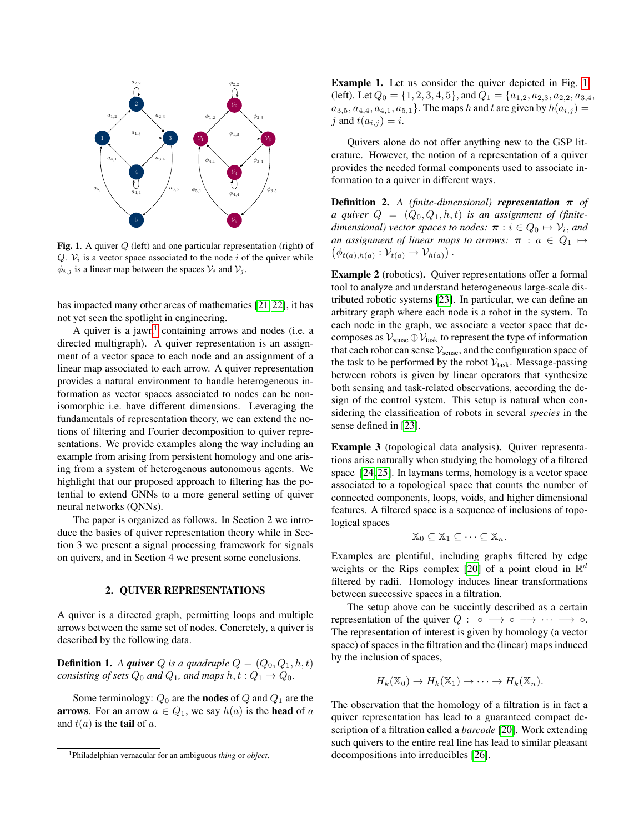<span id="page-1-1"></span>

Fig. 1. A quiver Q (left) and one particular representation (right) of Q.  $V_i$  is a vector space associated to the node i of the quiver while  $\phi_{i,j}$  is a linear map between the spaces  $\mathcal{V}_i$  and  $\mathcal{V}_j$ .

has impacted many other areas of mathematics [\[21,](#page-4-20) [22\]](#page-4-21), it has not yet seen the spotlight in engineering.

A quiver is a jawn<sup>[1](#page-1-0)</sup> containing arrows and nodes (i.e. a directed multigraph). A quiver representation is an assignment of a vector space to each node and an assignment of a linear map associated to each arrow. A quiver representation provides a natural environment to handle heterogeneous information as vector spaces associated to nodes can be nonisomorphic i.e. have different dimensions. Leveraging the fundamentals of representation theory, we can extend the notions of filtering and Fourier decomposition to quiver representations. We provide examples along the way including an example from arising from persistent homology and one arising from a system of heterogenous autonomous agents. We highlight that our proposed approach to filtering has the potential to extend GNNs to a more general setting of quiver neural networks (QNNs).

The paper is organized as follows. In Section 2 we introduce the basics of quiver representation theory while in Section 3 we present a signal processing framework for signals on quivers, and in Section 4 we present some conclusions.

## 2. QUIVER REPRESENTATIONS

A quiver is a directed graph, permitting loops and multiple arrows between the same set of nodes. Concretely, a quiver is described by the following data.

**Definition 1.** A *quiver* Q is a quadruple  $Q = (Q_0, Q_1, h, t)$ *consisting of sets*  $Q_0$  *and*  $Q_1$ *, and maps*  $h, t : Q_1 \rightarrow Q_0$ *.* 

Some terminology:  $Q_0$  are the **nodes** of  $Q$  and  $Q_1$  are the **arrows**. For an arrow  $a \in Q_1$ , we say  $h(a)$  is the **head** of a and  $t(a)$  is the **tail** of a.

Example 1. Let us consider the quiver depicted in Fig. [1](#page-1-1) (left). Let  $Q_0 = \{1, 2, 3, 4, 5\}$ , and  $Q_1 = \{a_{1,2}, a_{2,3}, a_{2,2}, a_{3,4},$  $a_{3,5}, a_{4,4}, a_{4,1}, a_{5,1}$ . The maps h and t are given by  $h(a_{i,j}) =$ j and  $t(a_{i,j}) = i$ .

Quivers alone do not offer anything new to the GSP literature. However, the notion of a representation of a quiver provides the needed formal components used to associate information to a quiver in different ways.

**Definition 2.** *A (finite-dimensional) representation*  $\pi$  *of a quiver*  $Q = (Q_0, Q_1, h, t)$  *is an assignment of (finite* $d$ imensional) vector spaces to nodes:  $\boldsymbol{\pi} : i \in Q_0 \mapsto \mathcal{V}_i,$  and  $(\phi_{t(a),h(a)}: \mathcal{V}_{t(a)} \to \mathcal{V}_{h(a)})$ . *an assignment of linear maps to arrows:*  $\pi$  :  $a \in Q_1 \mapsto$ 

Example 2 (robotics). Quiver representations offer a formal tool to analyze and understand heterogeneous large-scale distributed robotic systems [\[23\]](#page-4-22). In particular, we can define an arbitrary graph where each node is a robot in the system. To each node in the graph, we associate a vector space that decomposes as  $V_{\text{sense}} \oplus V_{\text{task}}$  to represent the type of information that each robot can sense  $V_{\text{sense}}$ , and the configuration space of the task to be performed by the robot  $V_{task}$ . Message-passing between robots is given by linear operators that synthesize both sensing and task-related observations, according the design of the control system. This setup is natural when considering the classification of robots in several *species* in the sense defined in [\[23\]](#page-4-22).

Example 3 (topological data analysis). Quiver representations arise naturally when studying the homology of a filtered space [\[24,](#page-4-23) [25\]](#page-4-24). In laymans terms, homology is a vector space associated to a topological space that counts the number of connected components, loops, voids, and higher dimensional features. A filtered space is a sequence of inclusions of topological spaces

$$
\mathbb{X}_0 \subseteq \mathbb{X}_1 \subseteq \cdots \subseteq \mathbb{X}_n.
$$

Examples are plentiful, including graphs filtered by edge weights or the Rips complex [\[20\]](#page-4-19) of a point cloud in  $\mathbb{R}^d$ filtered by radii. Homology induces linear transformations between successive spaces in a filtration.

The setup above can be succintly described as a certain representation of the quiver  $Q: \circ \longrightarrow \circ \longrightarrow \cdots \longrightarrow \circ$ . The representation of interest is given by homology (a vector space) of spaces in the filtration and the (linear) maps induced by the inclusion of spaces,

$$
H_k(\mathbb{X}_0) \to H_k(\mathbb{X}_1) \to \cdots \to H_k(\mathbb{X}_n).
$$

The observation that the homology of a filtration is in fact a quiver representation has lead to a guaranteed compact description of a filtration called a *barcode* [\[20\]](#page-4-19). Work extending such quivers to the entire real line has lead to similar pleasant decompositions into irreducibles [\[26\]](#page-4-25).

<span id="page-1-0"></span><sup>1</sup>Philadelphian vernacular for an ambiguous *thing* or *object*.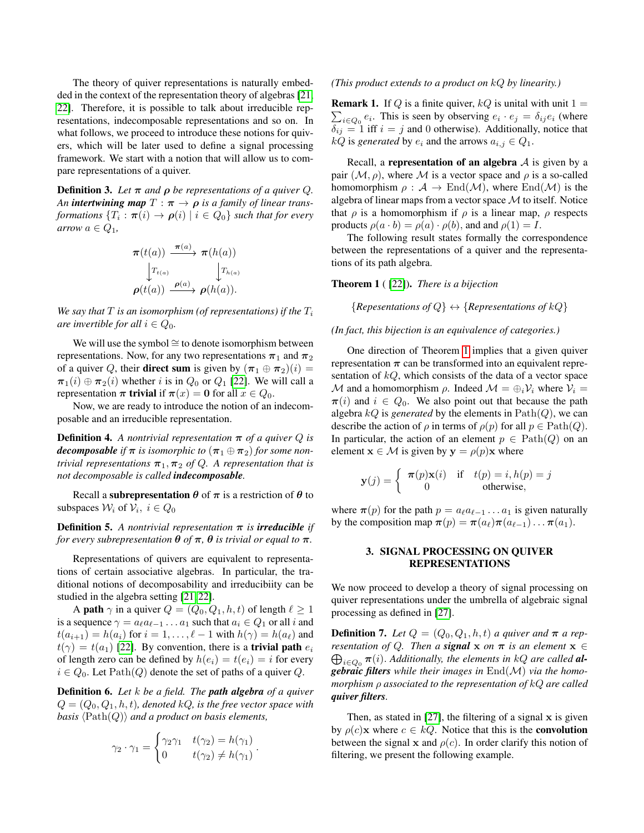The theory of quiver representations is naturally embedded in the context of the representation theory of algebras [\[21,](#page-4-20) [22\]](#page-4-21). Therefore, it is possible to talk about irreducible representations, indecomposable representations and so on. In what follows, we proceed to introduce these notions for quivers, which will be later used to define a signal processing framework. We start with a notion that will allow us to compare representations of a quiver.

**Definition 3.** Let  $\pi$  and  $\rho$  be representations of a quiver Q. *An intertwining map*  $T : \pi \to \rho$  *is a family of linear transformations*  $\{T_i : \boldsymbol{\pi}(i) \to \boldsymbol{\rho}(i) \mid i \in Q_0\}$  *such that for every arrow*  $a \in Q_1$ ,

$$
\pi(t(a)) \xrightarrow{\pi(a)} \pi(h(a))
$$
  
\n
$$
\downarrow T_{t(a)} \qquad \qquad \downarrow T_{h(a)}
$$
  
\n
$$
\rho(t(a)) \xrightarrow{\rho(a)} \rho(h(a)).
$$

*We say that*  $T$  *is an isomorphism (of representations) if the*  $T_i$ *are invertible for all*  $i \in Q_0$ *.* 

We will use the symbol ≅ to denote isomorphism between representations. Now, for any two representations  $\pi_1$  and  $\pi_2$ of a quiver Q, their **direct sum** is given by  $(\pi_1 \oplus \pi_2)(i) =$  $\pi_1(i) \oplus \pi_2(i)$  whether i is in  $Q_0$  or  $Q_1$  [\[22\]](#page-4-21). We will call a representation  $\pi$  trivial if  $\pi(x) = 0$  for all  $x \in Q_0$ .

Now, we are ready to introduce the notion of an indecomposable and an irreducible representation.

**Definition 4.** A nontrivial representation  $\pi$  of a quiver Q is *decomposable* if  $\pi$  *is isomorphic to*  $(\pi_1 \oplus \pi_2)$  *for some nontrivial representations*  $\pi_1, \pi_2$  *of Q. A representation that is not decomposable is called indecomposable.*

Recall a subrepresentation  $\theta$  of  $\pi$  is a restriction of  $\theta$  to subspaces  $\mathcal{W}_i$  of  $\mathcal{V}_i$ ,  $i \in Q_0$ 

**Definition 5.** A nontrivial representation  $\pi$  is **irreducible** if *for every subrepresentation*  $\theta$  *of*  $\pi$ ,  $\theta$  *is trivial or equal to*  $\pi$ *.* 

Representations of quivers are equivalent to representations of certain associative algebras. In particular, the traditional notions of decomposability and irreducibiity can be studied in the algebra setting [\[21,](#page-4-20) [22\]](#page-4-21).

A **path**  $\gamma$  in a quiver  $Q = (Q_0, Q_1, h, t)$  of length  $\ell \ge 1$ is a sequence  $\gamma = a_\ell a_{\ell-1} \dots a_1$  such that  $a_i \in Q_1$  or all i and  $t(a_{i+1}) = h(a_i)$  for  $i = 1, \ldots, \ell - 1$  with  $h(\gamma) = h(a_\ell)$  and  $t(\gamma) = t(a_1)$  [\[22\]](#page-4-21). By convention, there is a **trivial path**  $e_i$ of length zero can be defined by  $h(e_i) = t(e_i) = i$  for every  $i \in Q_0$ . Let  $Path(Q)$  denote the set of paths of a quiver Q.

Definition 6. *Let* k *be a field. The path algebra of a quiver*  $Q = (Q_0, Q_1, h, t)$ , denoted kQ, is the free vector space with *basis*  $\langle \text{Path}(Q) \rangle$  *and a product on basis elements,* 

$$
\gamma_2 \cdot \gamma_1 = \begin{cases} \gamma_2 \gamma_1 & t(\gamma_2) = h(\gamma_1) \\ 0 & t(\gamma_2) \neq h(\gamma_1) \end{cases}.
$$

#### *(This product extends to a product on* kQ *by linearity.)*

 $\sum_{i \in Q_0} e_i$ . This is seen by observing  $e_i \cdot e_j = \delta_{ij} e_i$  (where **Remark 1.** If Q is a finite quiver,  $kQ$  is unital with unit  $1 =$  $\delta_{ij} = 1$  iff  $i = j$  and 0 otherwise). Additionally, notice that  $kQ$  is *generated* by  $e_i$  and the arrows  $a_{i,j} \in Q_1$ .

Recall, a representation of an algebra  $A$  is given by a pair  $(M, \rho)$ , where M is a vector space and  $\rho$  is a so-called homomorphism  $\rho : A \to \text{End}(\mathcal{M})$ , where  $\text{End}(\mathcal{M})$  is the algebra of linear maps from a vector space  $M$  to itself. Notice that  $\rho$  is a homomorphism if  $\rho$  is a linear map,  $\rho$  respects products  $\rho(a \cdot b) = \rho(a) \cdot \rho(b)$ , and and  $\rho(1) = I$ .

The following result states formally the correspondence between the representations of a quiver and the representations of its path algebra.

### <span id="page-2-0"></span>Theorem 1 ( [\[22\]](#page-4-21)). *There is a bijection*

 ${Reposentations of Q} \leftrightarrow {Representations of kQ}$ 

## *(In fact, this bijection is an equivalence of categories.)*

One direction of Theorem [1](#page-2-0) implies that a given quiver representation  $\pi$  can be transformed into an equivalent representation of  $kQ$ , which consists of the data of a vector space M and a homomorphism  $\rho$ . Indeed  $\mathcal{M} = \bigoplus_i \mathcal{V}_i$  where  $\mathcal{V}_i =$  $\pi(i)$  and  $i \in Q_0$ . We also point out that because the path algebra  $kQ$  is *generated* by the elements in  $Path(Q)$ , we can describe the action of  $\rho$  in terms of  $\rho(p)$  for all  $p \in \text{Path}(Q)$ . In particular, the action of an element  $p \in \text{Path}(Q)$  on an element  $\mathbf{x} \in \mathcal{M}$  is given by  $\mathbf{y} = \rho(p)\mathbf{x}$  where

$$
\mathbf{y}(j) = \begin{cases} \pi(p)\mathbf{x}(i) & \text{if } t(p) = i, h(p) = j \\ 0 & \text{otherwise,} \end{cases}
$$

where  $\pi(p)$  for the path  $p = a_{\ell} a_{\ell-1} \dots a_1$  is given naturally by the composition map  $\pi(p) = \pi(a_\ell)\pi(a_{\ell-1})\dots\pi(a_1).$ 

# 3. SIGNAL PROCESSING ON QUIVER REPRESENTATIONS

We now proceed to develop a theory of signal processing on quiver representations under the umbrella of algebraic signal processing as defined in [\[27\]](#page-4-26).

**Definition 7.** Let  $Q = (Q_0, Q_1, h, t)$  *a quiver and*  $\pi$  *a representation of* Q*. Then a signal* x *on* π *is an element* x ∈  $\bigoplus_{i\in Q_0} \pi(i)$ . Additionally, the elements in kQ are called **al***gebraic filters while their images in* End(M) *via the homomorphism* ρ *associated to the representation of* kQ *are called quiver filters.*

Then, as stated in  $[27]$ , the filtering of a signal  $x$  is given by  $\rho(c)$ x where  $c \in kQ$ . Notice that this is the **convolution** between the signal x and  $\rho(c)$ . In order clarify this notion of filtering, we present the following example.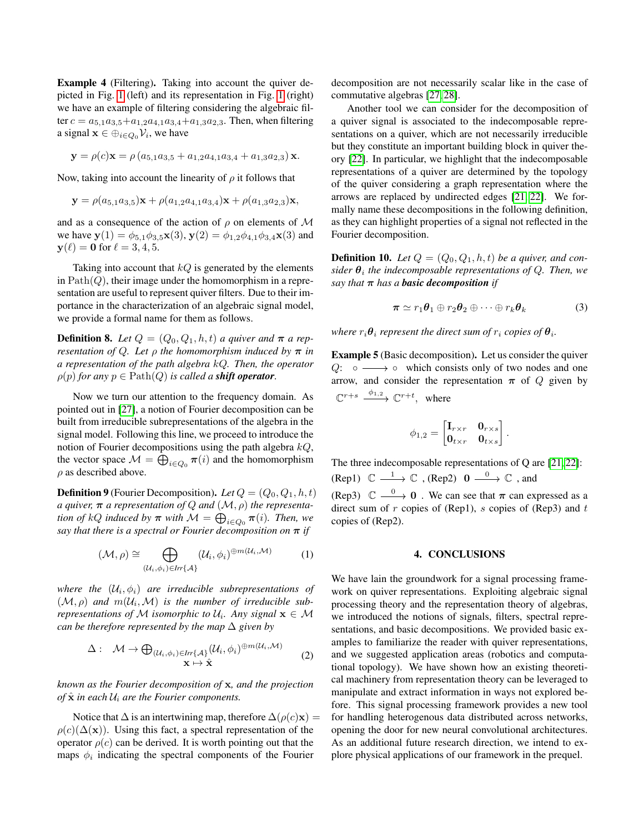Example 4 (Filtering). Taking into account the quiver depicted in Fig. [1](#page-1-1) (left) and its representation in Fig. [1](#page-1-1) (right) we have an example of filtering considering the algebraic filter  $c = a_{5,1}a_{3,5} + a_{1,2}a_{4,1}a_{3,4} + a_{1,3}a_{2,3}$ . Then, when filtering a signal  $\mathbf{x} \in \bigoplus_{i \in Q_0} \mathcal{V}_i$ , we have

$$
\mathbf{y} = \rho(c)\mathbf{x} = \rho(a_{5,1}a_{3,5} + a_{1,2}a_{4,1}a_{3,4} + a_{1,3}a_{2,3})\mathbf{x}.
$$

Now, taking into account the linearity of  $\rho$  it follows that

$$
\mathbf{y} = \rho(a_{5,1}a_{3,5})\mathbf{x} + \rho(a_{1,2}a_{4,1}a_{3,4})\mathbf{x} + \rho(a_{1,3}a_{2,3})\mathbf{x},
$$

and as a consequence of the action of  $\rho$  on elements of M we have  $y(1) = \phi_{5,1}\phi_{3,5}x(3)$ ,  $y(2) = \phi_{1,2}\phi_{4,1}\phi_{3,4}x(3)$  and  $y(\ell) = 0$  for  $\ell = 3, 4, 5$ .

Taking into account that  $kQ$  is generated by the elements in  $Path(Q)$ , their image under the homomorphism in a representation are useful to represent quiver filters. Due to their importance in the characterization of an algebraic signal model, we provide a formal name for them as follows.

**Definition 8.** Let  $Q = (Q_0, Q_1, h, t)$  a quiver and  $\pi$  a rep*resentation of Q. Let*  $\rho$  *the homomorphism induced by*  $\pi$  *in a representation of the path algebra* kQ*. Then, the operator*  $\rho(p)$  *for any*  $p \in \text{Path}(Q)$  *is called a shift operator.* 

Now we turn our attention to the frequency domain. As pointed out in [\[27\]](#page-4-26), a notion of Fourier decomposition can be built from irreducible subrepresentations of the algebra in the signal model. Following this line, we proceed to introduce the notion of Fourier decompositions using the path algebra  $kQ$ , the vector space  $\mathcal{M} = \bigoplus_{i \in Q_0} \pi(i)$  and the homomorphism  $\rho$  as described above.

**Definition 9** (Fourier Decomposition). Let  $Q = (Q_0, Q_1, h, t)$ *a quiver,*  $\pi$  *a representation of Q and*  $(M, \rho)$  *the representation of*  $kQ$  *induced by*  $\pi$  *with*  $M = \bigoplus_{i \in Q_0} \pi(i)$ *. Then, we say that there is a spectral or Fourier decomposition on*  $\pi$  *if* 

$$
(\mathcal{M}, \rho) \cong \bigoplus_{(\mathcal{U}_i, \phi_i) \in Irr\{\mathcal{A}\}} (\mathcal{U}_i, \phi_i)^{\oplus m(\mathcal{U}_i, \mathcal{M})}
$$
 (1)

where the  $(\mathcal{U}_i, \phi_i)$  are irreducible subrepresentations of  $(M, \rho)$  and  $m(U_i, \mathcal{M})$  is the number of irreducible sub*representations of*  $M$  *isomorphic to*  $U_i$ *. Any signal*  $\mathbf{x} \in M$ *can be therefore represented by the map*  $\Delta$  *given by* 

$$
\Delta: \quad \mathcal{M} \to \bigoplus_{(\mathcal{U}_i, \phi_i) \in Irr\{\mathcal{A}\}} (\mathcal{U}_i, \phi_i)^{\oplus m(\mathcal{U}_i, \mathcal{M})}
$$

$$
\mathbf{x} \mapsto \hat{\mathbf{x}} \tag{2}
$$

*known as the Fourier decomposition of* x*, and the projection of*  $\hat{\mathbf{x}}$  *in each*  $\mathcal{U}_i$  *are the Fourier components.* 

Notice that  $\Delta$  is an intertwining map, therefore  $\Delta(\rho(c)x)$  =  $\rho(c)(\Delta(\mathbf{x}))$ . Using this fact, a spectral representation of the operator  $\rho(c)$  can be derived. It is worth pointing out that the maps  $\phi_i$  indicating the spectral components of the Fourier

decomposition are not necessarily scalar like in the case of commutative algebras [\[27,](#page-4-26) [28\]](#page-4-27).

Another tool we can consider for the decomposition of a quiver signal is associated to the indecomposable representations on a quiver, which are not necessarily irreducible but they constitute an important building block in quiver theory [\[22\]](#page-4-21). In particular, we highlight that the indecomposable representations of a quiver are determined by the topology of the quiver considering a graph representation where the arrows are replaced by undirected edges [\[21,](#page-4-20) [22\]](#page-4-21). We formally name these decompositions in the following definition, as they can highlight properties of a signal not reflected in the Fourier decomposition.

**Definition 10.** Let  $Q = (Q_0, Q_1, h, t)$  be a quiver, and con $sider \theta_i$  the indecomposable representations of  $Q$ . Then, we *say that*  $\pi$  *has a basic decomposition if* 

$$
\boldsymbol{\pi} \simeq r_1 \boldsymbol{\theta}_1 \oplus r_2 \boldsymbol{\theta}_2 \oplus \cdots \oplus r_k \boldsymbol{\theta}_k \tag{3}
$$

where  $r_i \boldsymbol{\theta}_i$  represent the direct sum of  $r_i$  copies of  $\boldsymbol{\theta}_i$ .

Example 5 (Basic decomposition). Let us consider the quiver Q:  $\circ \longrightarrow \circ$  which consists only of two nodes and one arrow, and consider the representation  $\pi$  of Q given by  $\mathbb{C}^{r+s} \xrightarrow{\phi_{1,2}} \mathbb{C}^{r+t}$ , where

$$
\phi_{1,2} = \begin{bmatrix} \mathbf{I}_{r \times r} & \mathbf{0}_{r \times s} \\ \mathbf{0}_{t \times r} & \mathbf{0}_{t \times s} \end{bmatrix}.
$$

The three indecomposable representations of Q are [\[21,](#page-4-20) [22\]](#page-4-21): (Rep1)  $\mathbb{C} \longrightarrow \mathbb{C}$ , (Rep2)  $0 \longrightarrow \mathbb{C}$ , and (Rep3)  $\mathbb{C} \longrightarrow 0$ . We can see that  $\pi$  can expressed as a direct sum of  $r$  copies of (Rep1),  $s$  copies of (Rep3) and  $t$ copies of (Rep2).

## 4. CONCLUSIONS

We have lain the groundwork for a signal processing framework on quiver representations. Exploiting algebraic signal processing theory and the representation theory of algebras, we introduced the notions of signals, filters, spectral representations, and basic decompositions. We provided basic examples to familiarize the reader with quiver representations, and we suggested application areas (robotics and computational topology). We have shown how an existing theoretical machinery from representation theory can be leveraged to manipulate and extract information in ways not explored before. This signal processing framework provides a new tool for handling heterogenous data distributed across networks, opening the door for new neural convolutional architectures. As an additional future research direction, we intend to explore physical applications of our framework in the prequel.